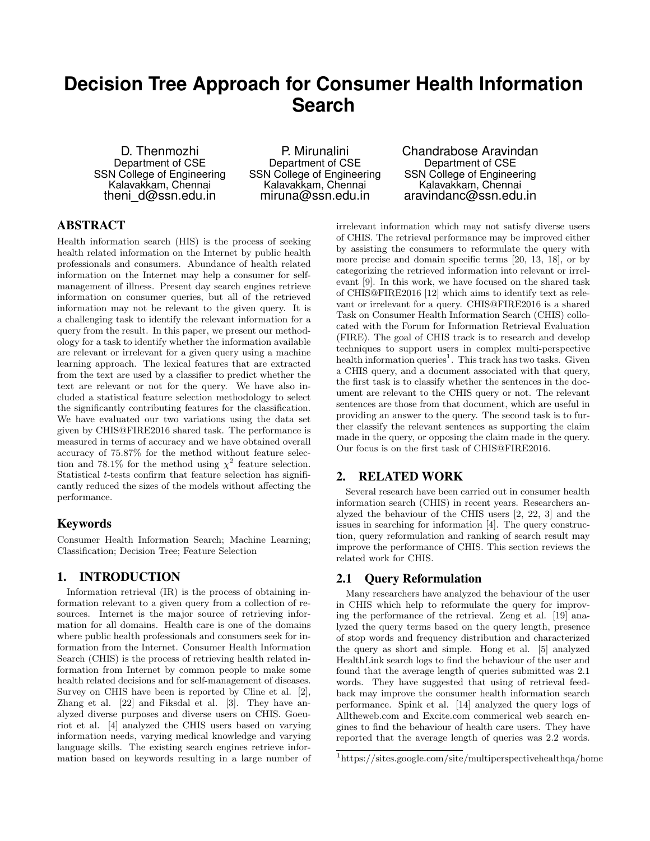# **Decision Tree Approach for Consumer Health Information Search**

D. Thenmozhi Department of CSE SSN College of Engineering Kalavakkam, Chennai theni d@ssn.edu.in

P. Mirunalini Department of CSE SSN College of Engineering Kalavakkam, Chennai miruna@ssn.edu.in

Chandrabose Aravindan Department of CSE SSN College of Engineering Kalavakkam, Chennai aravindanc@ssn.edu.in

# ABSTRACT

Health information search (HIS) is the process of seeking health related information on the Internet by public health professionals and consumers. Abundance of health related information on the Internet may help a consumer for selfmanagement of illness. Present day search engines retrieve information on consumer queries, but all of the retrieved information may not be relevant to the given query. It is a challenging task to identify the relevant information for a query from the result. In this paper, we present our methodology for a task to identify whether the information available are relevant or irrelevant for a given query using a machine learning approach. The lexical features that are extracted from the text are used by a classifier to predict whether the text are relevant or not for the query. We have also included a statistical feature selection methodology to select the significantly contributing features for the classification. We have evaluated our two variations using the data set given by CHIS@FIRE2016 shared task. The performance is measured in terms of accuracy and we have obtained overall accuracy of 75.87% for the method without feature selection and 78.1% for the method using  $\chi^2$  feature selection. Statistical *t*-tests confirm that feature selection has significantly reduced the sizes of the models without affecting the performance.

# Keywords

Consumer Health Information Search; Machine Learning; Classification; Decision Tree; Feature Selection

# 1. INTRODUCTION

Information retrieval (IR) is the process of obtaining information relevant to a given query from a collection of resources. Internet is the major source of retrieving information for all domains. Health care is one of the domains where public health professionals and consumers seek for information from the Internet. Consumer Health Information Search (CHIS) is the process of retrieving health related information from Internet by common people to make some health related decisions and for self-management of diseases. Survey on CHIS have been is reported by Cline et al. [2], Zhang et al. [22] and Fiksdal et al. [3]. They have analyzed diverse purposes and diverse users on CHIS. Goeuriot et al. [4] analyzed the CHIS users based on varying information needs, varying medical knowledge and varying language skills. The existing search engines retrieve information based on keywords resulting in a large number of

irrelevant information which may not satisfy diverse users of CHIS. The retrieval performance may be improved either by assisting the consumers to reformulate the query with more precise and domain specific terms [20, 13, 18], or by categorizing the retrieved information into relevant or irrelevant [9]. In this work, we have focused on the shared task of CHIS@FIRE2016 [12] which aims to identify text as relevant or irrelevant for a query. CHIS@FIRE2016 is a shared Task on Consumer Health Information Search (CHIS) collocated with the Forum for Information Retrieval Evaluation (FIRE). The goal of CHIS track is to research and develop techniques to support users in complex multi-perspective health information queries<sup>1</sup>. This track has two tasks. Given a CHIS query, and a document associated with that query, the first task is to classify whether the sentences in the document are relevant to the CHIS query or not. The relevant sentences are those from that document, which are useful in providing an answer to the query. The second task is to further classify the relevant sentences as supporting the claim made in the query, or opposing the claim made in the query. Our focus is on the first task of CHIS@FIRE2016.

## 2. RELATED WORK

Several research have been carried out in consumer health information search (CHIS) in recent years. Researchers analyzed the behaviour of the CHIS users [2, 22, 3] and the issues in searching for information [4]. The query construction, query reformulation and ranking of search result may improve the performance of CHIS. This section reviews the related work for CHIS.

#### 2.1 Query Reformulation

Many researchers have analyzed the behaviour of the user in CHIS which help to reformulate the query for improving the performance of the retrieval. Zeng et al. [19] analyzed the query terms based on the query length, presence of stop words and frequency distribution and characterized the query as short and simple. Hong et al. [5] analyzed HealthLink search logs to find the behaviour of the user and found that the average length of queries submitted was 2.1 words. They have suggested that using of retrieval feedback may improve the consumer health information search performance. Spink et al. [14] analyzed the query logs of Alltheweb.com and Excite.com commerical web search engines to find the behaviour of health care users. They have reported that the average length of queries was 2.2 words.

<sup>1</sup>https://sites.google.com/site/multiperspectivehealthqa/home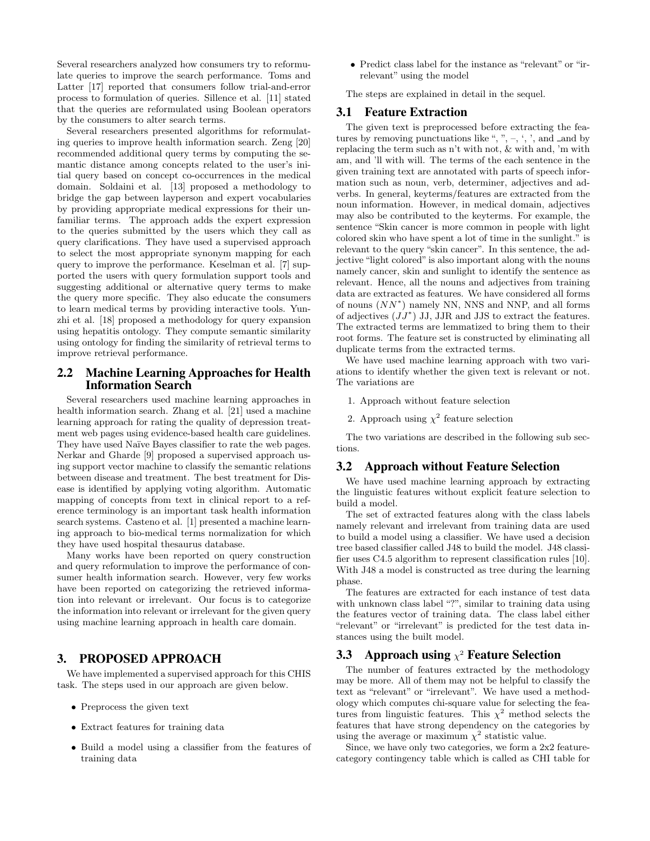Several researchers analyzed how consumers try to reformulate queries to improve the search performance. Toms and Latter [17] reported that consumers follow trial-and-error process to formulation of queries. Sillence et al. [11] stated that the queries are reformulated using Boolean operators by the consumers to alter search terms.

Several researchers presented algorithms for reformulating queries to improve health information search. Zeng [20] recommended additional query terms by computing the semantic distance among concepts related to the user's initial query based on concept co-occurrences in the medical domain. Soldaini et al. [13] proposed a methodology to bridge the gap between layperson and expert vocabularies by providing appropriate medical expressions for their unfamiliar terms. The approach adds the expert expression to the queries submitted by the users which they call as query clarifications. They have used a supervised approach to select the most appropriate synonym mapping for each query to improve the performance. Keselman et al. [7] supported the users with query formulation support tools and suggesting additional or alternative query terms to make the query more specific. They also educate the consumers to learn medical terms by providing interactive tools. Yunzhi et al. [18] proposed a methodology for query expansion using hepatitis ontology. They compute semantic similarity using ontology for finding the similarity of retrieval terms to improve retrieval performance.

# 2.2 Machine Learning Approaches for Health Information Search

Several researchers used machine learning approaches in health information search. Zhang et al. [21] used a machine learning approach for rating the quality of depression treatment web pages using evidence-based health care guidelines. They have used Naïve Bayes classifier to rate the web pages. Nerkar and Gharde [9] proposed a supervised approach using support vector machine to classify the semantic relations between disease and treatment. The best treatment for Disease is identified by applying voting algorithm. Automatic mapping of concepts from text in clinical report to a reference terminology is an important task health information search systems. Casteno et al. [1] presented a machine learning approach to bio-medical terms normalization for which they have used hospital thesaurus database.

Many works have been reported on query construction and query reformulation to improve the performance of consumer health information search. However, very few works have been reported on categorizing the retrieved information into relevant or irrelevant. Our focus is to categorize the information into relevant or irrelevant for the given query using machine learning approach in health care domain.

# 3. PROPOSED APPROACH

We have implemented a supervised approach for this CHIS task. The steps used in our approach are given below.

- Preprocess the given text
- Extract features for training data
- Build a model using a classifier from the features of training data

• Predict class label for the instance as "relevant" or "irrelevant" using the model

The steps are explained in detail in the sequel.

## 3.1 Feature Extraction

The given text is preprocessed before extracting the features by removing punctuations like ", ",  $-$ , ', ', and Land by replacing the term such as n't with not, & with and, 'm with am, and 'll with will. The terms of the each sentence in the given training text are annotated with parts of speech information such as noun, verb, determiner, adjectives and adverbs. In general, keyterms/features are extracted from the noun information. However, in medical domain, adjectives may also be contributed to the keyterms. For example, the sentence "Skin cancer is more common in people with light colored skin who have spent a lot of time in the sunlight." is relevant to the query "skin cancer". In this sentence, the adjective "light colored" is also important along with the nouns namely cancer, skin and sunlight to identify the sentence as relevant. Hence, all the nouns and adjectives from training data are extracted as features. We have considered all forms of nouns  $(NN^*)$  namely NN, NNS and NNP, and all forms of adjectives  $(JJ^*)$  JJ, JJR and JJS to extract the features. The extracted terms are lemmatized to bring them to their root forms. The feature set is constructed by eliminating all duplicate terms from the extracted terms.

We have used machine learning approach with two variations to identify whether the given text is relevant or not. The variations are

- 1. Approach without feature selection
- 2. Approach using  $\chi^2$  feature selection

The two variations are described in the following sub sections.

## 3.2 Approach without Feature Selection

We have used machine learning approach by extracting the linguistic features without explicit feature selection to build a model.

The set of extracted features along with the class labels namely relevant and irrelevant from training data are used to build a model using a classifier. We have used a decision tree based classifier called J48 to build the model. J48 classifier uses C4.5 algorithm to represent classification rules [10]. With J48 a model is constructed as tree during the learning phase.

The features are extracted for each instance of test data with unknown class label "?", similar to training data using the features vector of training data. The class label either "relevant" or "irrelevant" is predicted for the test data instances using the built model.

# **3.3** Approach using  $\chi^2$  Feature Selection

The number of features extracted by the methodology may be more. All of them may not be helpful to classify the text as "relevant" or "irrelevant". We have used a methodology which computes chi-square value for selecting the features from linguistic features. This  $\chi^2$  method selects the features that have strong dependency on the categories by using the average or maximum  $\chi^2$  statistic value.

Since, we have only two categories, we form a 2x2 featurecategory contingency table which is called as CHI table for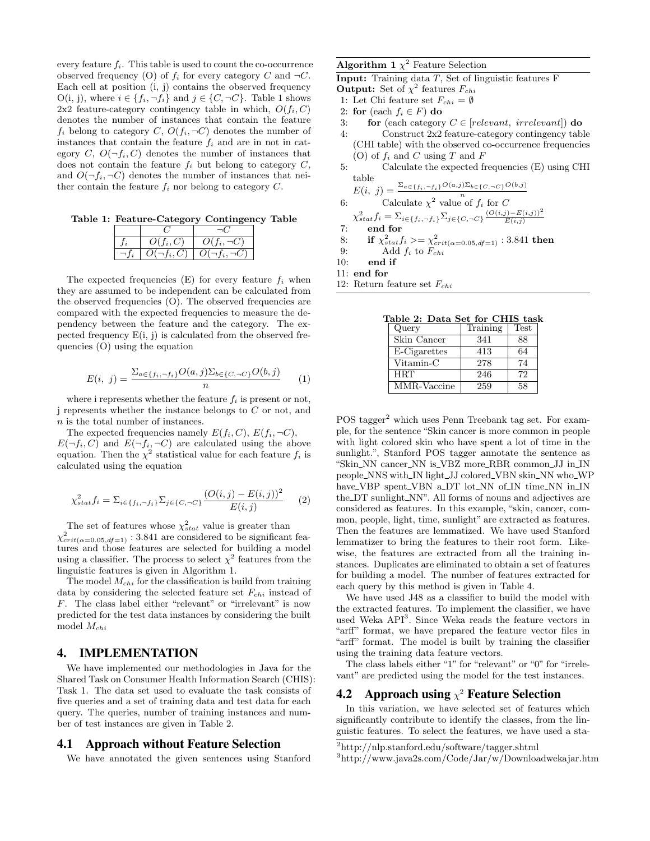every feature  $f_i$ . This table is used to count the co-occurrence observed frequency (O) of  $f_i$  for every category C and  $\neg C$ . Each cell at position (i, j) contains the observed frequency O(i, j), where  $i \in \{f_i, \neg f_i\}$  and  $j \in \{C, \neg C\}$ . Table 1 shows 2x2 feature-category contingency table in which,  $O(f_i, C)$ denotes the number of instances that contain the feature  $f_i$  belong to category C,  $O(f_i, \neg C)$  denotes the number of instances that contain the feature  $f_i$  and are in not in category C,  $O(\neg f_i, C)$  denotes the number of instances that does not contain the feature  $f_i$  but belong to category  $C$ , and  $O(\neg f_i, \neg C)$  denotes the number of instances that neither contain the feature  $f_i$  nor belong to category  $C$ .

Table 1: Feature-Category Contingency Table

| $O(f_i, C)$      | $O(f_i, \neg C)$ |
|------------------|------------------|
| $O(\neg f_i, C)$ | $O(\neg t$       |

The expected frequencies  $(E)$  for every feature  $f_i$  when they are assumed to be independent can be calculated from the observed frequencies (O). The observed frequencies are compared with the expected frequencies to measure the dependency between the feature and the category. The expected frequency  $E(i, j)$  is calculated from the observed frequencies (O) using the equation

$$
E(i, j) = \frac{\sum_{a \in \{f_i, \neg f_i\}} O(a, j) \sum_{b \in \{C, \neg C\}} O(b, j)}{n} \tag{1}
$$

where i represents whether the feature  $f_i$  is present or not, j represents whether the instance belongs to C or not, and n is the total number of instances.

The expected frequencies namely  $E(f_i, C)$ ,  $E(f_i, \neg C)$ ,  $E(\neg f_i, C)$  and  $E(\neg f_i, \neg C)$  are calculated using the above equation. Then the  $\chi^2$  statistical value for each feature  $f_i$  is calculated using the equation

$$
\chi_{stat}^2 f_i = \sum_{i \in \{f_i, \neg f_i\}} \sum_{j \in \{C, \neg C\}} \frac{(O(i,j) - E(i,j))^2}{E(i,j)} \tag{2}
$$

The set of features whose  $\chi_{stat}^2$  value is greater than  $\chi^2_{crit(\alpha=0.05, df=1)}$ : 3.841 are considered to be significant features and those features are selected for building a model using a classifier. The process to select  $\chi^2$  features from the linguistic features is given in Algorithm 1.

The model  $M_{chi}$  for the classification is build from training data by considering the selected feature set  $F_{chi}$  instead of F. The class label either "relevant" or "irrelevant" is now predicted for the test data instances by considering the built model  $M_{chi}$ 

### 4. IMPLEMENTATION

We have implemented our methodologies in Java for the Shared Task on Consumer Health Information Search (CHIS): Task 1. The data set used to evaluate the task consists of five queries and a set of training data and test data for each query. The queries, number of training instances and number of test instances are given in Table 2.

#### 4.1 Approach without Feature Selection

We have annotated the given sentences using Stanford

#### **Algorithm 1**  $\chi^2$  Feature Selection

Input: Training data T, Set of linguistic features F

- **Output:** Set of  $\chi^2$  features  $F_{chi}$
- 1: Let Chi feature set  $F_{chi} = \emptyset$
- 2: for (each  $f_i \in F$ ) do
- 3: **for** (each category  $C \in [relevant, irrelevant]$ ) do
- 4: Construct 2x2 feature-category contingency table (CHI table) with the observed co-occurrence frequencies (O) of  $f_i$  and C using T and F
- 5: Calculate the expected frequencies (E) using CHI table  $O(a,j)\Sigma_{b \in \{C, \neg C\}}O(b,j)$

$$
E(i, j) = \frac{\sum_{a \in \{f_i, -f_i\}} O(a, j) \sum_{b \in \{C, -C\}} C}{n}
$$
\n6: Calculate  $\chi^2$  value of  $f_i$  for C

$$
\chi_{stat}^2 f_i = \sum_{i \in \{f_i, \neg f_i\}} \sum_{j \in \{C, \neg C\}} \frac{(O(i,j) - E(i,j))^2}{E(i,j)}
$$

- 7: end for
- 8: if  $\chi^2_{stat} f_i > = \chi^2_{crit(\alpha=0.05, df=1)}$  : 3.841 then

9: Add 
$$
f_i
$$
 to  $F_{chi}$ 

- 10: end if
- 11: end for
- 12: Return feature set  $F_{chi}$

Table 2: Data Set for CHIS task

| $\mu$ . Dava Dev Ion |             |
|----------------------|-------------|
| Training             | <b>Test</b> |
| 341                  | 88          |
| 413                  | 64          |
| 278                  | 74          |
| 246                  | 72          |
| 259                  | 58          |
|                      | .           |

POS tagger<sup>2</sup> which uses Penn Treebank tag set. For example, for the sentence "Skin cancer is more common in people with light colored skin who have spent a lot of time in the sunlight.", Stanford POS tagger annotate the sentence as "Skin\_NN cancer\_NN is\_VBZ more\_RBR common\_JJ in\_IN people\_NNS with\_IN light\_JJ colored\_VBN skin\_NN who\_WP have\_VBP spent\_VBN a\_DT lot\_NN of\_IN time\_NN in\_IN the DT sunlight NN". All forms of nouns and adjectives are considered as features. In this example, "skin, cancer, common, people, light, time, sunlight" are extracted as features. Then the features are lemmatized. We have used Stanford lemmatizer to bring the features to their root form. Likewise, the features are extracted from all the training instances. Duplicates are eliminated to obtain a set of features for building a model. The number of features extracted for each query by this method is given in Table 4.

We have used J48 as a classifier to build the model with the extracted features. To implement the classifier, we have used Weka API<sup>3</sup>. Since Weka reads the feature vectors in "arff" format, we have prepared the feature vector files in "arff" format. The model is built by training the classifier using the training data feature vectors.

The class labels either "1" for "relevant" or "0" for "irrelevant" are predicted using the model for the test instances.

# **4.2** Approach using  $\chi^2$  Feature Selection

In this variation, we have selected set of features which significantly contribute to identify the classes, from the linguistic features. To select the features, we have used a sta-

<sup>2</sup>http://nlp.stanford.edu/software/tagger.shtml

<sup>3</sup>http://www.java2s.com/Code/Jar/w/Downloadwekajar.htm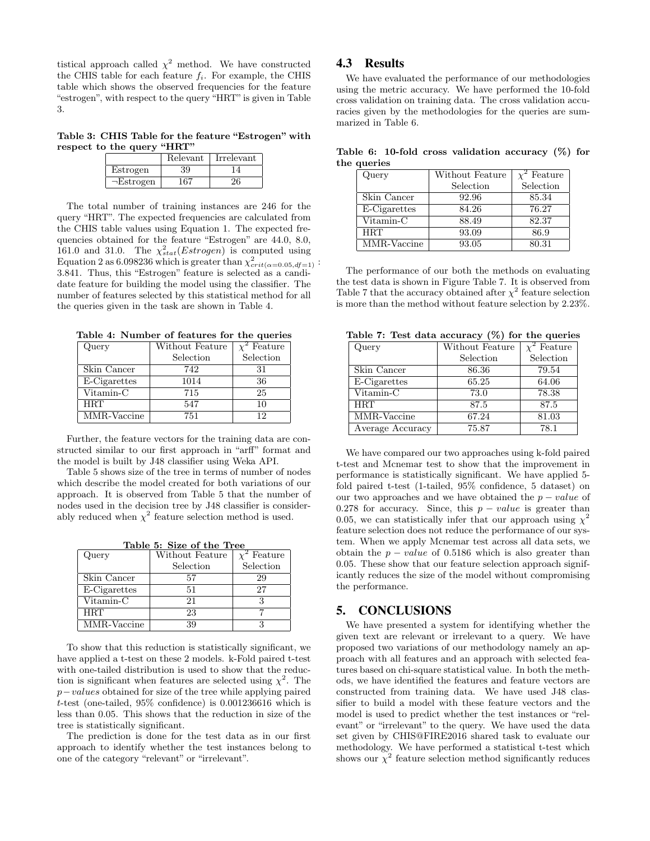tistical approach called  $\chi^2$  method. We have constructed the CHIS table for each feature  $f_i$ . For example, the CHIS table which shows the observed frequencies for the feature "estrogen", with respect to the query "HRT" is given in Table 3.

Table 3: CHIS Table for the feature "Estrogen" with respect to the query "HRT"

|                        | Relevant | Irrelevant |
|------------------------|----------|------------|
| Estrogen               | 39       |            |
| $\neg_\text{Estrogen}$ | 167      |            |

The total number of training instances are 246 for the query "HRT". The expected frequencies are calculated from the CHIS table values using Equation 1. The expected frequencies obtained for the feature "Estrogen" are 44.0, 8.0, 161.0 and 31.0. The  $\chi_{stat}^2(Estrogen)$  is computed using Equation 2 as 6.098236 which is greater than  $\chi^2_{crit(\alpha=0.05, df=1)}$ : 3.841. Thus, this "Estrogen" feature is selected as a candidate feature for building the model using the classifier. The number of features selected by this statistical method for all the queries given in the task are shown in Table 4.

Table 4: Number of features for the queries

| Query           | Without Feature | Feature   |
|-----------------|-----------------|-----------|
|                 | Selection       | Selection |
| Skin Cancer     | 742             | 31        |
| E-Cigarettes    | 1014            | 36        |
| $V$ itamin- $C$ | 715             | 25        |
| <b>HRT</b>      | 547             | 10        |
| MMR-Vaccine     | 751             | 12        |

Further, the feature vectors for the training data are constructed similar to our first approach in "arff" format and the model is built by J48 classifier using Weka API.

Table 5 shows size of the tree in terms of number of nodes which describe the model created for both variations of our approach. It is observed from Table 5 that the number of nodes used in the decision tree by J48 classifier is considerably reduced when  $\chi^2$  feature selection method is used.

Table 5: Size of the Tree

| Query        | Without Feature | $\overline{\chi^2}$ Feature |
|--------------|-----------------|-----------------------------|
|              | Selection       | Selection                   |
| Skin Cancer  | 57              | 29                          |
| E-Cigarettes | 51              | 27                          |
| Vitamin-C    | 21              |                             |
| <b>HRT</b>   | 23              |                             |
| MMR-Vaccine  | 39              |                             |

To show that this reduction is statistically significant, we have applied a t-test on these 2 models. k-Fold paired t-test with one-tailed distribution is used to show that the reduction is significant when features are selected using  $\chi^2$ . The p−values obtained for size of the tree while applying paired t-test (one-tailed, 95% confidence) is 0.001236616 which is less than 0.05. This shows that the reduction in size of the tree is statistically significant.

The prediction is done for the test data as in our first approach to identify whether the test instances belong to one of the category "relevant" or "irrelevant".

### 4.3 Results

We have evaluated the performance of our methodologies using the metric accuracy. We have performed the 10-fold cross validation on training data. The cross validation accuracies given by the methodologies for the queries are summarized in Table 6.

Table 6: 10-fold cross validation accuracy (%) for the queries

| Query        | Without Feature | <sup>2</sup> Feature |
|--------------|-----------------|----------------------|
|              | Selection       | Selection            |
| Skin Cancer  | 92.96           | 85.34                |
| E-Cigarettes | 84.26           | 76.27                |
| Vitamin-C    | 88.49           | 82.37                |
| <b>HRT</b>   | 93.09           | 86.9                 |
| MMR-Vaccine  | 93.05           | 80.31                |

The performance of our both the methods on evaluating the test data is shown in Figure Table 7. It is observed from Table 7 that the accuracy obtained after  $\chi^2$  feature selection is more than the method without feature selection by 2.23%.

Table 7: Test data accuracy (%) for the queries

| Query            | Without Feature | <sup>2</sup> Feature |
|------------------|-----------------|----------------------|
|                  | Selection       | Selection            |
| Skin Cancer      | 86.36           | 79.54                |
| E-Cigarettes     | 65.25           | 64.06                |
| Vitamin-C        | 73.0            | 78.38                |
| <b>HRT</b>       | 87.5            | 87.5                 |
| MMR-Vaccine      | 67.24           | 81.03                |
| Average Accuracy | 75.87           | 78.1                 |

We have compared our two approaches using k-fold paired t-test and Mcnemar test to show that the improvement in performance is statistically significant. We have applied 5 fold paired t-test (1-tailed, 95% confidence, 5 dataset) on our two approaches and we have obtained the  $p - value$  of 0.278 for accuracy. Since, this  $p - value$  is greater than 0.05, we can statistically infer that our approach using  $\chi^2$ feature selection does not reduce the performance of our system. When we apply Mcnemar test across all data sets, we obtain the  $p - value$  of 0.5186 which is also greater than 0.05. These show that our feature selection approach significantly reduces the size of the model without compromising the performance.

# 5. CONCLUSIONS

We have presented a system for identifying whether the given text are relevant or irrelevant to a query. We have proposed two variations of our methodology namely an approach with all features and an approach with selected features based on chi-square statistical value. In both the methods, we have identified the features and feature vectors are constructed from training data. We have used J48 classifier to build a model with these feature vectors and the model is used to predict whether the test instances or "relevant" or "irrelevant" to the query. We have used the data set given by CHIS@FIRE2016 shared task to evaluate our methodology. We have performed a statistical t-test which shows our  $\chi^2$  feature selection method significantly reduces